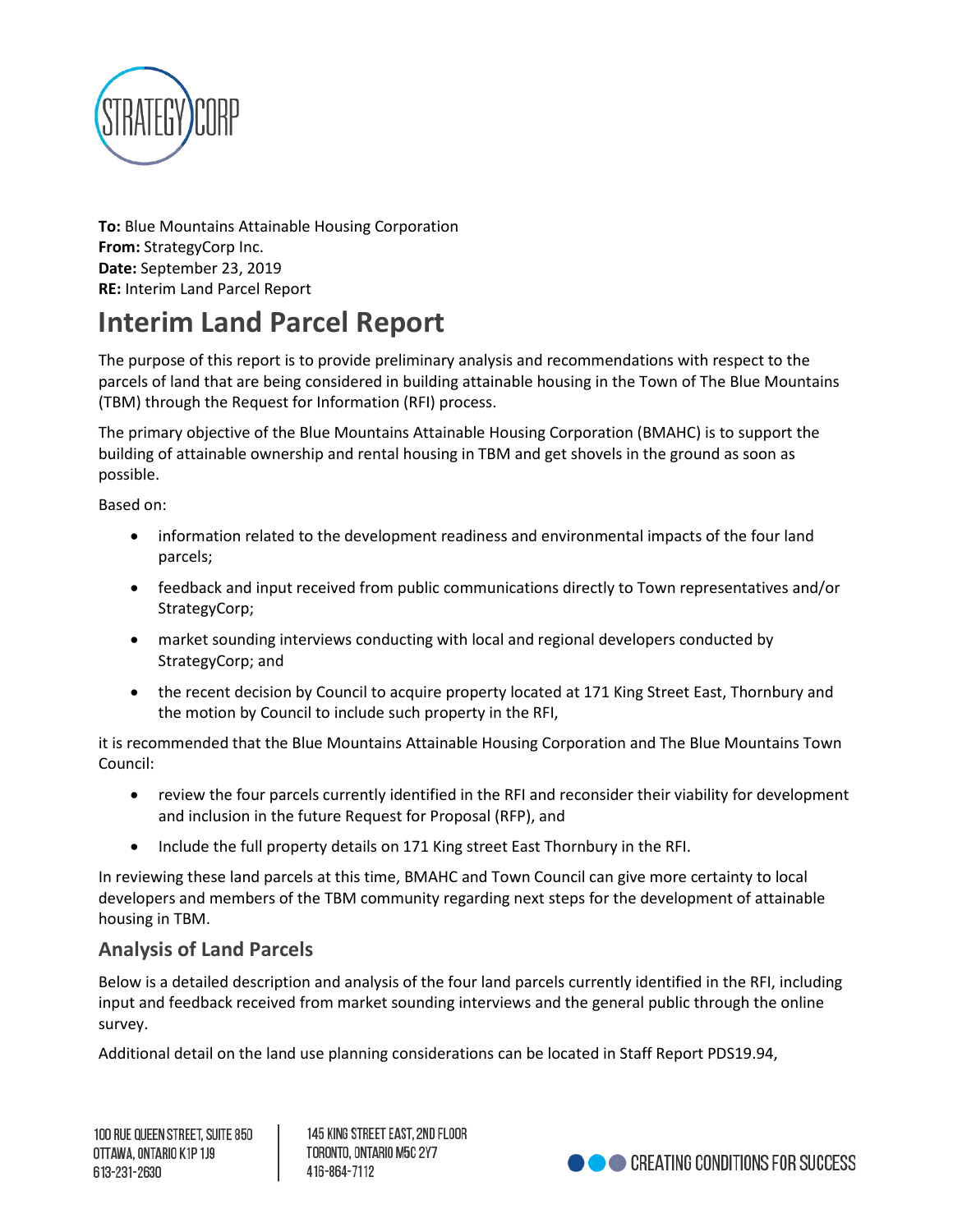

**To:** Blue Mountains Attainable Housing Corporation **From:** StrategyCorp Inc. **Date:** September 23, 2019 **RE:** Interim Land Parcel Report

# **Interim Land Parcel Report**

The purpose of this report is to provide preliminary analysis and recommendations with respect to the parcels of land that are being considered in building attainable housing in the Town of The Blue Mountains (TBM) through the Request for Information (RFI) process.

The primary objective of the Blue Mountains Attainable Housing Corporation (BMAHC) is to support the building of attainable ownership and rental housing in TBM and get shovels in the ground as soon as possible.

Based on:

- information related to the development readiness and environmental impacts of the four land parcels;
- feedback and input received from public communications directly to Town representatives and/or StrategyCorp;
- market sounding interviews conducting with local and regional developers conducted by StrategyCorp; and
- the recent decision by Council to acquire property located at 171 King Street East, Thornbury and the motion by Council to include such property in the RFI,

it is recommended that the Blue Mountains Attainable Housing Corporation and The Blue Mountains Town Council:

- review the four parcels currently identified in the RFI and reconsider their viability for development and inclusion in the future Request for Proposal (RFP), and
- Include the full property details on 171 King street East Thornbury in the RFI.

In reviewing these land parcels at this time, BMAHC and Town Council can give more certainty to local developers and members of the TBM community regarding next steps for the development of attainable housing in TBM.

# **Analysis of Land Parcels**

Below is a detailed description and analysis of the four land parcels currently identified in the RFI, including input and feedback received from market sounding interviews and the general public through the online survey.

Additional detail on the land use planning considerations can be located in Staff Report PDS19.94,

145 KING STREET EAST. 2ND FLOOR TORONTO, ONTARIO M5C 2Y7 416-864-7112

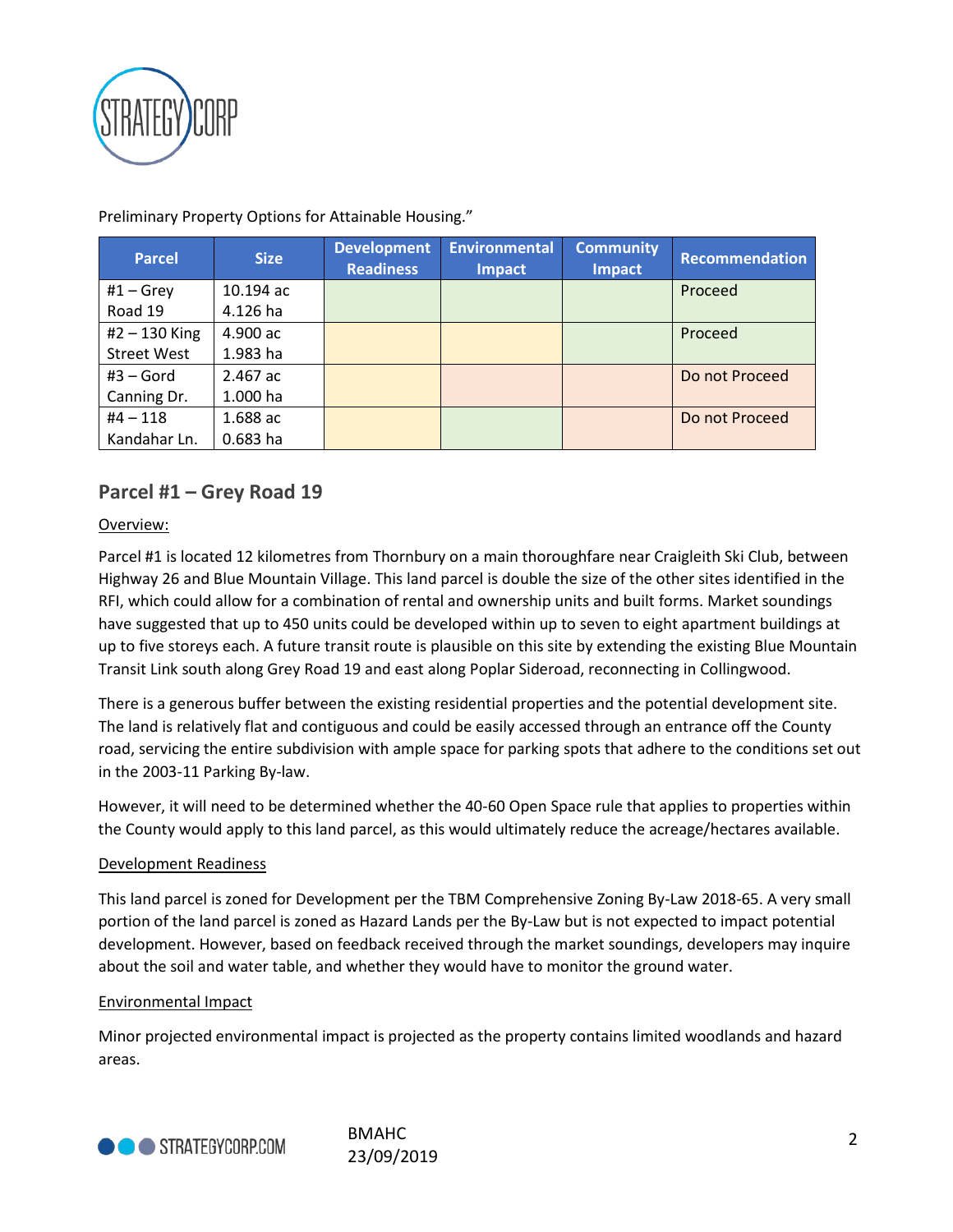

**Parcel Size Development Readiness Environmental Impact Community Impact Recommendation**  $#1 - G$ rey Road 19 10.194 ac 4.126 ha Proceed #2 – 130 King Street West 4.900 ac 1.983 ha Proceed #3 – Gord Canning Dr. 2.467 ac 1.000 ha Do not Proceed #4 – 118 Kandahar Ln. 1.688 ac 0.683 ha Do not Proceed

Preliminary Property Options for Attainable Housing."

# **Parcel #1 – Grey Road 19**

### Overview:

Parcel #1 is located 12 kilometres from Thornbury on a main thoroughfare near Craigleith Ski Club, between Highway 26 and Blue Mountain Village. This land parcel is double the size of the other sites identified in the RFI, which could allow for a combination of rental and ownership units and built forms. Market soundings have suggested that up to 450 units could be developed within up to seven to eight apartment buildings at up to five storeys each. A future transit route is plausible on this site by extending the existing Blue Mountain Transit Link south along Grey Road 19 and east along Poplar Sideroad, reconnecting in Collingwood.

There is a generous buffer between the existing residential properties and the potential development site. The land is relatively flat and contiguous and could be easily accessed through an entrance off the County road, servicing the entire subdivision with ample space for parking spots that adhere to the conditions set out in the 2003-11 Parking By-law.

However, it will need to be determined whether the 40-60 Open Space rule that applies to properties within the County would apply to this land parcel, as this would ultimately reduce the acreage/hectares available.

### Development Readiness

This land parcel is zoned for Development per the TBM Comprehensive Zoning By-Law 2018-65. A very small portion of the land parcel is zoned as Hazard Lands per the By-Law but is not expected to impact potential development. However, based on feedback received through the market soundings, developers may inquire about the soil and water table, and whether they would have to monitor the ground water.

### Environmental Impact

Minor projected environmental impact is projected as the property contains limited woodlands and hazard areas.



2 BMAHC 23/09/2019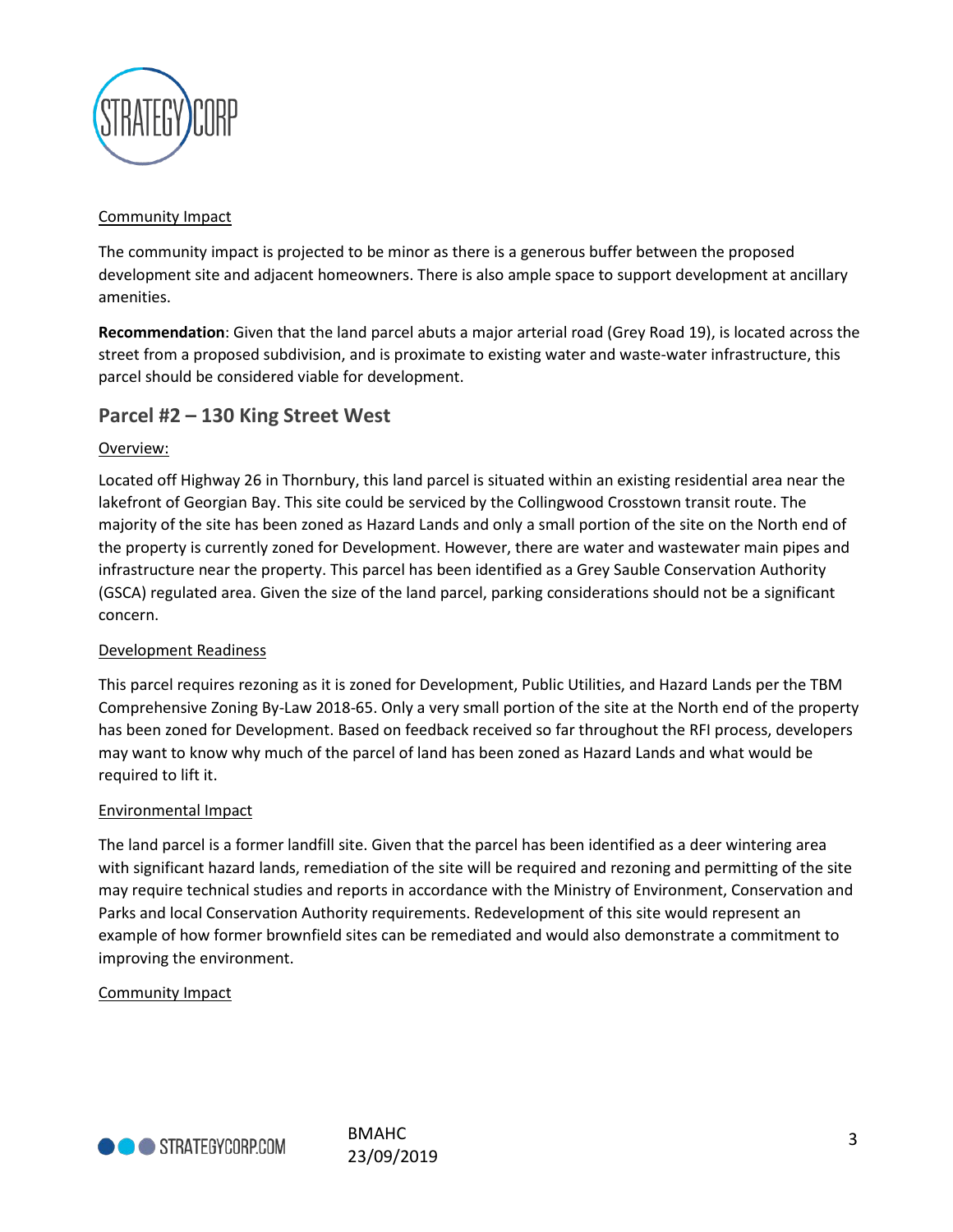

### Community Impact

The community impact is projected to be minor as there is a generous buffer between the proposed development site and adjacent homeowners. There is also ample space to support development at ancillary amenities.

**Recommendation**: Given that the land parcel abuts a major arterial road (Grey Road 19), is located across the street from a proposed subdivision, and is proximate to existing water and waste-water infrastructure, this parcel should be considered viable for development.

# **Parcel #2 – 130 King Street West**

### Overview:

Located off Highway 26 in Thornbury, this land parcel is situated within an existing residential area near the lakefront of Georgian Bay. This site could be serviced by the Collingwood Crosstown transit route. The majority of the site has been zoned as Hazard Lands and only a small portion of the site on the North end of the property is currently zoned for Development. However, there are water and wastewater main pipes and infrastructure near the property. This parcel has been identified as a Grey Sauble Conservation Authority (GSCA) regulated area. Given the size of the land parcel, parking considerations should not be a significant concern.

### Development Readiness

This parcel requires rezoning as it is zoned for Development, Public Utilities, and Hazard Lands per the TBM Comprehensive Zoning By-Law 2018-65. Only a very small portion of the site at the North end of the property has been zoned for Development. Based on feedback received so far throughout the RFI process, developers may want to know why much of the parcel of land has been zoned as Hazard Lands and what would be required to lift it.

### Environmental Impact

The land parcel is a former landfill site. Given that the parcel has been identified as a deer wintering area with significant hazard lands, remediation of the site will be required and rezoning and permitting of the site may require technical studies and reports in accordance with the Ministry of Environment, Conservation and Parks and local Conservation Authority requirements. Redevelopment of this site would represent an example of how former brownfield sites can be remediated and would also demonstrate a commitment to improving the environment.

### Community Impact

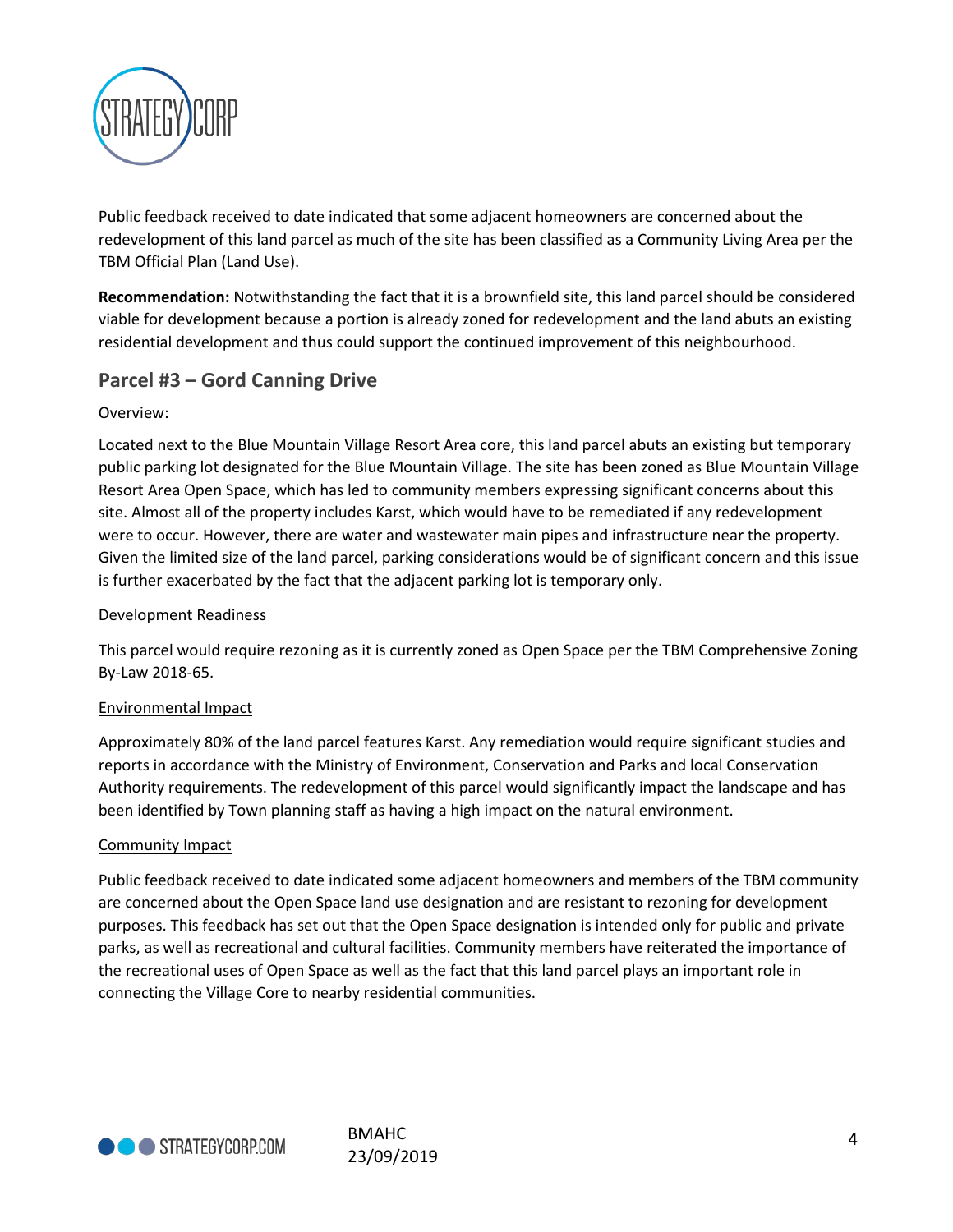

Public feedback received to date indicated that some adjacent homeowners are concerned about the redevelopment of this land parcel as much of the site has been classified as a Community Living Area per the TBM Official Plan (Land Use).

**Recommendation:** Notwithstanding the fact that it is a brownfield site, this land parcel should be considered viable for development because a portion is already zoned for redevelopment and the land abuts an existing residential development and thus could support the continued improvement of this neighbourhood.

# **Parcel #3 – Gord Canning Drive**

### Overview:

Located next to the Blue Mountain Village Resort Area core, this land parcel abuts an existing but temporary public parking lot designated for the Blue Mountain Village. The site has been zoned as Blue Mountain Village Resort Area Open Space, which has led to community members expressing significant concerns about this site. Almost all of the property includes Karst, which would have to be remediated if any redevelopment were to occur. However, there are water and wastewater main pipes and infrastructure near the property. Given the limited size of the land parcel, parking considerations would be of significant concern and this issue is further exacerbated by the fact that the adjacent parking lot is temporary only.

## Development Readiness

This parcel would require rezoning as it is currently zoned as Open Space per the TBM Comprehensive Zoning By-Law 2018-65.

### Environmental Impact

Approximately 80% of the land parcel features Karst. Any remediation would require significant studies and reports in accordance with the Ministry of Environment, Conservation and Parks and local Conservation Authority requirements. The redevelopment of this parcel would significantly impact the landscape and has been identified by Town planning staff as having a high impact on the natural environment.

### Community Impact

Public feedback received to date indicated some adjacent homeowners and members of the TBM community are concerned about the Open Space land use designation and are resistant to rezoning for development purposes. This feedback has set out that the Open Space designation is intended only for public and private parks, as well as recreational and cultural facilities. Community members have reiterated the importance of the recreational uses of Open Space as well as the fact that this land parcel plays an important role in connecting the Village Core to nearby residential communities.